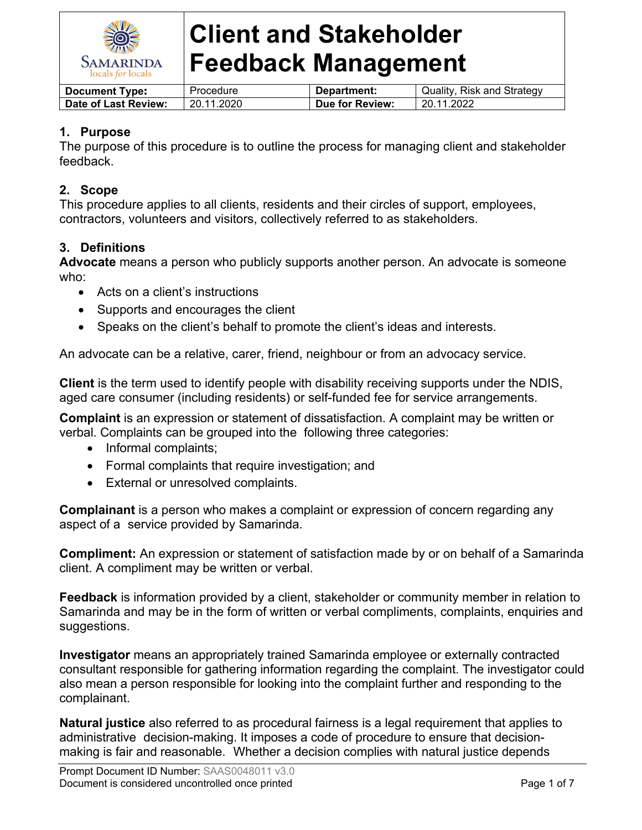

| <b>Document Type:</b> | Procedure  | Department:     | Quality, Risk and Strategy |
|-----------------------|------------|-----------------|----------------------------|
| Date of Last Review:  | 20.11.2020 | Due for Review: | 20.11.2022                 |

## **1. Purpose**

The purpose of this procedure is to outline the process for managing client and stakeholder feedback.

## **2. Scope**

This procedure applies to all clients, residents and their circles of support, employees, contractors, volunteers and visitors, collectively referred to as stakeholders.

## **3. Definitions**

**Advocate** means a person who publicly supports another person. An advocate is someone who:

- Acts on a client's instructions
- Supports and encourages the client
- Speaks on the client's behalf to promote the client's ideas and interests.

An advocate can be a relative, carer, friend, neighbour or from an advocacy service.

**Client** is the term used to identify people with disability receiving supports under the NDIS, aged care consumer (including residents) or self-funded fee for service arrangements.

**Complaint** is an expression or statement of dissatisfaction. A complaint may be written or verbal. Complaints can be grouped into the following three categories:

- Informal complaints;
- Formal complaints that require investigation; and
- External or unresolved complaints.

**Complainant** is a person who makes a complaint or expression of concern regarding any aspect of a service provided by Samarinda.

**Compliment:** An expression or statement of satisfaction made by or on behalf of a Samarinda client. A compliment may be written or verbal.

**Feedback** is information provided by a client, stakeholder or community member in relation to Samarinda and may be in the form of written or verbal compliments, complaints, enquiries and suggestions.

**Investigator** means an appropriately trained Samarinda employee or externally contracted consultant responsible for gathering information regarding the complaint. The investigator could also mean a person responsible for looking into the complaint further and responding to the complainant.

**Natural justice** also referred to as procedural fairness is a legal requirement that applies to administrative decision-making. It imposes a code of procedure to ensure that decisionmaking is fair and reasonable. Whether a decision complies with natural justice depends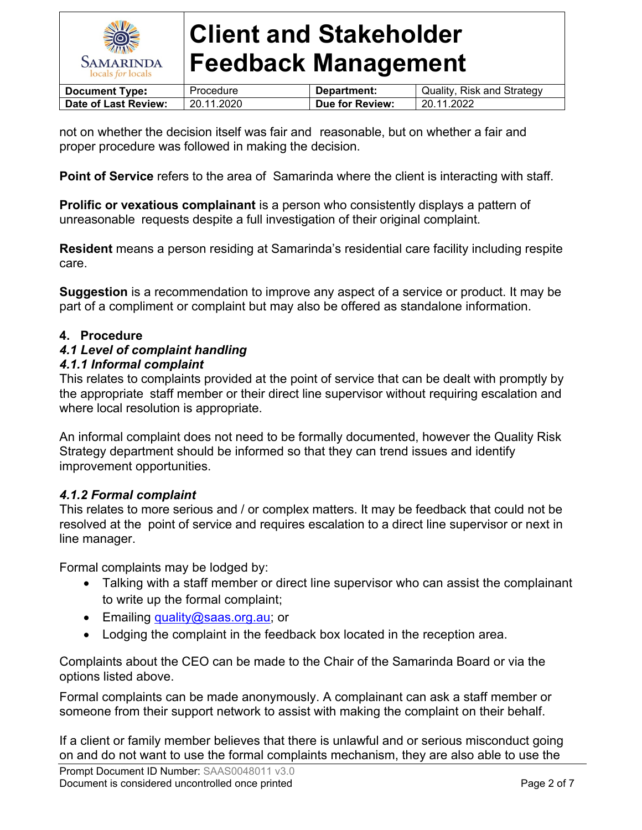

| <b>Document Type:</b> | Procedure  | Department:     | Quality, Risk and Strategy |
|-----------------------|------------|-----------------|----------------------------|
| Date of Last Review:  | 20.11.2020 | Due for Review: | 20.11.2022                 |

not on whether the decision itself was fair and reasonable, but on whether a fair and proper procedure was followed in making the decision.

**Point of Service** refers to the area of Samarinda where the client is interacting with staff.

**Prolific or vexatious complainant** is a person who consistently displays a pattern of unreasonable requests despite a full investigation of their original complaint.

**Resident** means a person residing at Samarinda's residential care facility including respite care.

**Suggestion** is a recommendation to improve any aspect of a service or product. It may be part of a compliment or complaint but may also be offered as standalone information.

## **4. Procedure**

#### *4.1 Level of complaint handling*

#### *4.1.1 Informal complaint*

This relates to complaints provided at the point of service that can be dealt with promptly by the appropriate staff member or their direct line supervisor without requiring escalation and where local resolution is appropriate.

An informal complaint does not need to be formally documented, however the Quality Risk Strategy department should be informed so that they can trend issues and identify improvement opportunities.

## *4.1.2 Formal complaint*

This relates to more serious and / or complex matters. It may be feedback that could not be resolved at the point of service and requires escalation to a direct line supervisor or next in line manager.

Formal complaints may be lodged by:

- Talking with a staff member or direct line supervisor who can assist the complainant to write up the formal complaint;
- Emailing [quality@saas.org.au](mailto:quality@saas.org.au); or
- Lodging the complaint in the feedback box located in the reception area.

Complaints about the CEO can be made to the Chair of the Samarinda Board or via the options listed above.

Formal complaints can be made anonymously. A complainant can ask a staff member or someone from their support network to assist with making the complaint on their behalf.

If a client or family member believes that there is unlawful and or serious misconduct going on and do not want to use the formal complaints mechanism, they are also able to use the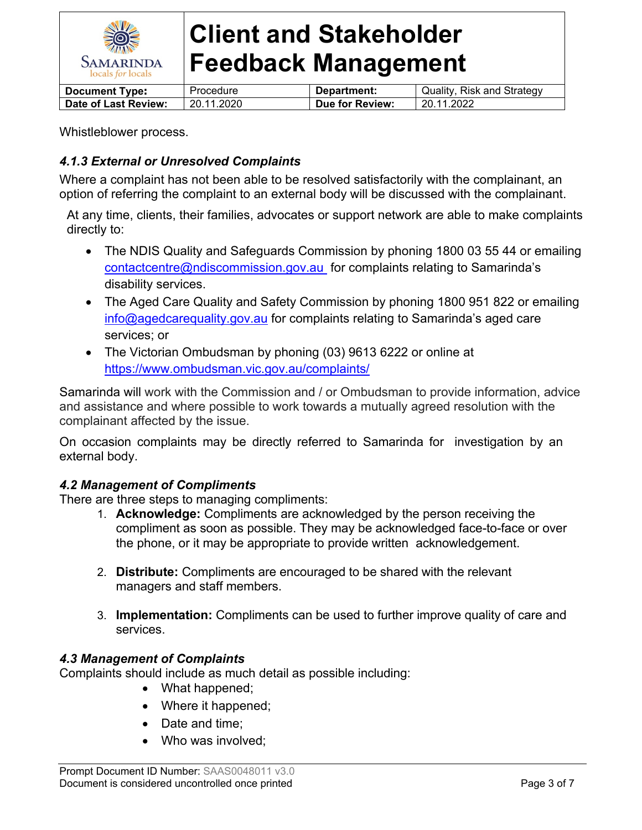

| <b>Document Type:</b> | Procedure  | Department:     | Quality, Risk and Strategy |
|-----------------------|------------|-----------------|----------------------------|
| Date of Last Review:  | 20.11.2020 | Due for Review: | 20.11.2022                 |

Whistleblower process.

# *4.1.3 External or Unresolved Complaints*

Where a complaint has not been able to be resolved satisfactorily with the complainant, an option of referring the complaint to an external body will be discussed with the complainant.

At any time, clients, their families, advocates or support network are able to make complaints directly to:

- The NDIS Quality and Safeguards Commission by phoning 1800 03 55 44 or emailing [contactcentre@ndiscommission.gov.au](mailto:contactcentre@ndiscommission.gov.au) for complaints relating to Samarinda's disability services.
- The Aged Care Quality and Safety Commission by phoning 1800 951 822 or emailing [info@agedcarequality.gov.au](mailto:info@agedcarequality.gov.au) for complaints relating to Samarinda's aged care services; or
- The Victorian Ombudsman by phoning (03) 9613 6222 or online at <https://www.ombudsman.vic.gov.au/complaints/>

Samarinda will work with the Commission and / or Ombudsman to provide information, advice and assistance and where possible to work towards a mutually agreed resolution with the complainant affected by the issue.

On occasion complaints may be directly referred to Samarinda for investigation by an external body.

## *4.2 Management of Compliments*

There are three steps to managing compliments:

- 1. **Acknowledge:** Compliments are acknowledged by the person receiving the compliment as soon as possible. They may be acknowledged face-to-face or over the phone, or it may be appropriate to provide written acknowledgement.
- 2. **Distribute:** Compliments are encouraged to be shared with the relevant managers and staff members.
- 3. **Implementation:** Compliments can be used to further improve quality of care and services.

## *4.3 Management of Complaints*

Complaints should include as much detail as possible including:

- What happened;
- Where it happened;
- Date and time:
- Who was involved: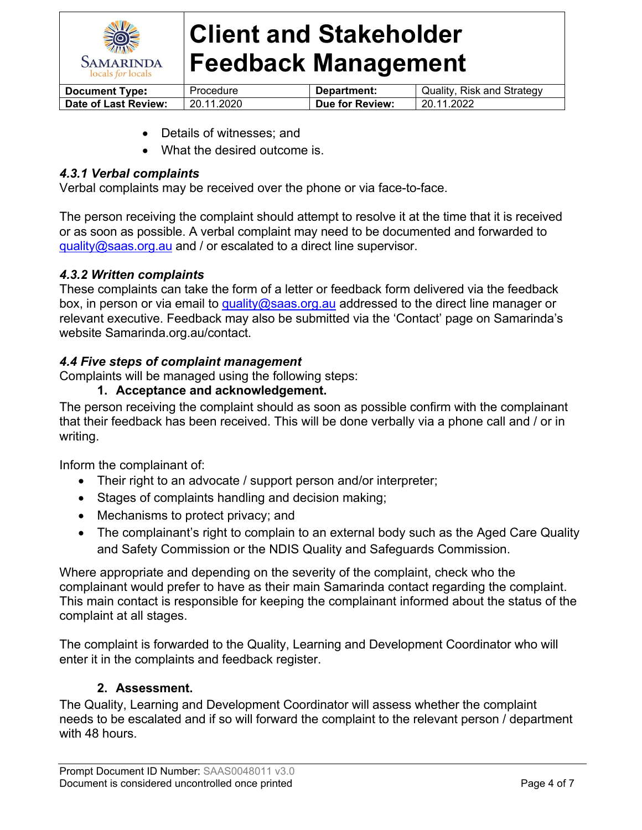

| <b>Document Type:</b> | Procedure  | Department:     | Quality, Risk and Strategy |
|-----------------------|------------|-----------------|----------------------------|
| Date of Last Review:  | 20.11.2020 | Due for Review: | 20.11.2022                 |

- Details of witnesses; and
- What the desired outcome is.

#### *4.3.1 Verbal complaints*

Verbal complaints may be received over the phone or via face-to-face.

The person receiving the complaint should attempt to resolve it at the time that it is received or as soon as possible. A verbal complaint may need to be documented and forwarded to [quality@saas.org.au](mailto:quality@saas.org.au) and / or escalated to a direct line supervisor.

#### *4.3.2 Written complaints*

These complaints can take the form of a letter or feedback form delivered via the feedback box, in person or via email to [quality@saas.org.au](mailto:quality@saas.org.au) addressed to the direct line manager or relevant executive. Feedback may also be submitted via the 'Contact' page on Samarinda's website Samarinda.org.au/contact.

#### *4.4 Five steps of complaint management*

Complaints will be managed using the following steps:

#### **1. Acceptance and acknowledgement.**

The person receiving the complaint should as soon as possible confirm with the complainant that their feedback has been received. This will be done verbally via a phone call and / or in writing.

Inform the complainant of:

- Their right to an advocate / support person and/or interpreter;
- Stages of complaints handling and decision making;
- Mechanisms to protect privacy; and
- The complainant's right to complain to an external body such as the Aged Care Quality and Safety Commission or the NDIS Quality and Safeguards Commission.

Where appropriate and depending on the severity of the complaint, check who the complainant would prefer to have as their main Samarinda contact regarding the complaint. This main contact is responsible for keeping the complainant informed about the status of the complaint at all stages.

The complaint is forwarded to the Quality, Learning and Development Coordinator who will enter it in the complaints and feedback register.

## **2. Assessment.**

The Quality, Learning and Development Coordinator will assess whether the complaint needs to be escalated and if so will forward the complaint to the relevant person / department with 48 hours.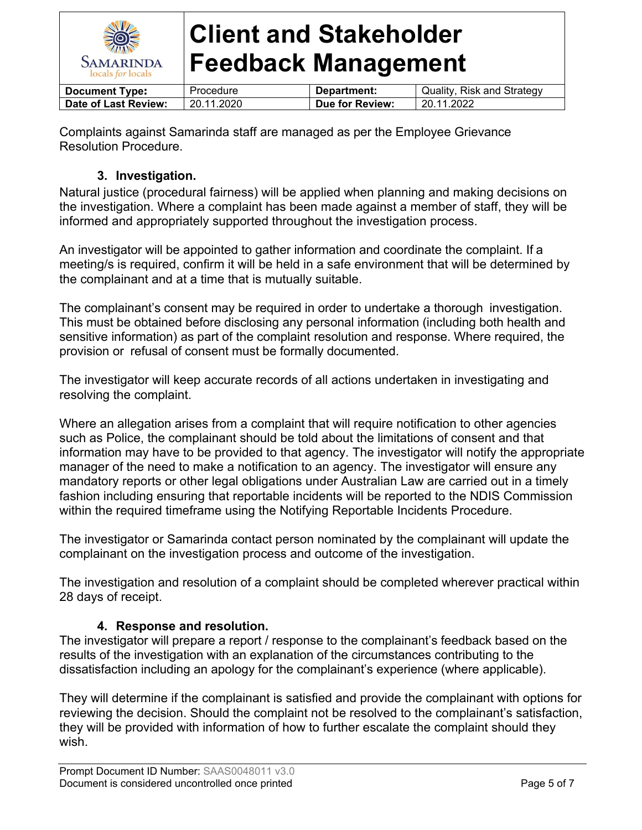

| <b>Document Type:</b> | Procedure  | Department:     | Quality, Risk and Strategy |
|-----------------------|------------|-----------------|----------------------------|
| Date of Last Review:  | 20.11.2020 | Due for Review: | 20.11.2022                 |
|                       |            |                 |                            |

Complaints against Samarinda staff are managed as per the Employee Grievance Resolution Procedure.

# **3. Investigation.**

Natural justice (procedural fairness) will be applied when planning and making decisions on the investigation. Where a complaint has been made against a member of staff, they will be informed and appropriately supported throughout the investigation process.

An investigator will be appointed to gather information and coordinate the complaint. If a meeting/s is required, confirm it will be held in a safe environment that will be determined by the complainant and at a time that is mutually suitable.

The complainant's consent may be required in order to undertake a thorough investigation. This must be obtained before disclosing any personal information (including both health and sensitive information) as part of the complaint resolution and response. Where required, the provision or refusal of consent must be formally documented.

The investigator will keep accurate records of all actions undertaken in investigating and resolving the complaint.

Where an allegation arises from a complaint that will require notification to other agencies such as Police, the complainant should be told about the limitations of consent and that information may have to be provided to that agency. The investigator will notify the appropriate manager of the need to make a notification to an agency. The investigator will ensure any mandatory reports or other legal obligations under Australian Law are carried out in a timely fashion including ensuring that reportable incidents will be reported to the NDIS Commission within the required timeframe using the Notifying Reportable Incidents Procedure.

The investigator or Samarinda contact person nominated by the complainant will update the complainant on the investigation process and outcome of the investigation.

The investigation and resolution of a complaint should be completed wherever practical within 28 days of receipt.

# **4. Response and resolution.**

The investigator will prepare a report / response to the complainant's feedback based on the results of the investigation with an explanation of the circumstances contributing to the dissatisfaction including an apology for the complainant's experience (where applicable).

They will determine if the complainant is satisfied and provide the complainant with options for reviewing the decision. Should the complaint not be resolved to the complainant's satisfaction, they will be provided with information of how to further escalate the complaint should they wish.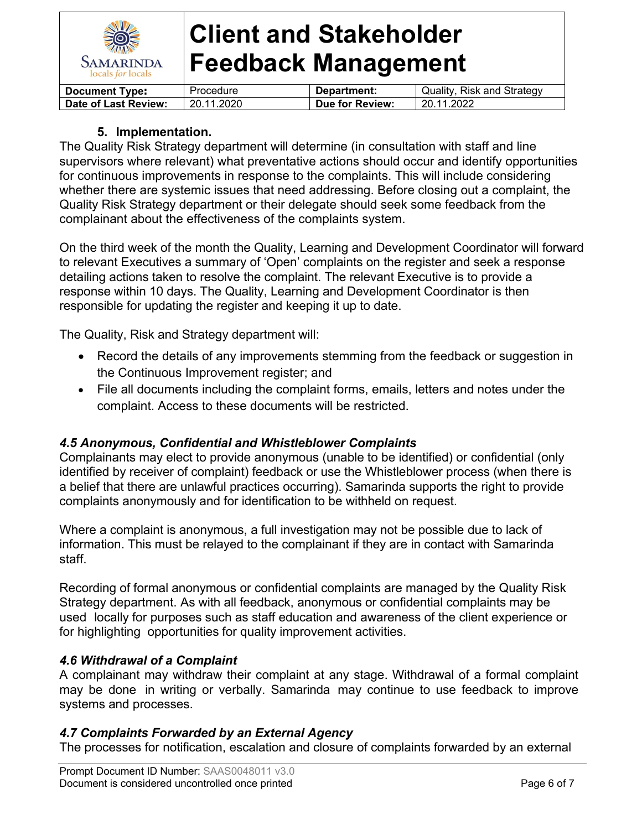

| <b>Document Type:</b> | Procedure  | Department:     | Quality, Risk and Strategy |
|-----------------------|------------|-----------------|----------------------------|
| Date of Last Review:  | 20.11.2020 | Due for Review: | 20.11.2022                 |

## **5. Implementation.**

The Quality Risk Strategy department will determine (in consultation with staff and line supervisors where relevant) what preventative actions should occur and identify opportunities for continuous improvements in response to the complaints. This will include considering whether there are systemic issues that need addressing. Before closing out a complaint, the Quality Risk Strategy department or their delegate should seek some feedback from the complainant about the effectiveness of the complaints system.

On the third week of the month the Quality, Learning and Development Coordinator will forward to relevant Executives a summary of 'Open' complaints on the register and seek a response detailing actions taken to resolve the complaint. The relevant Executive is to provide a response within 10 days. The Quality, Learning and Development Coordinator is then responsible for updating the register and keeping it up to date.

The Quality, Risk and Strategy department will:

- Record the details of any improvements stemming from the feedback or suggestion in the Continuous Improvement register; and
- File all documents including the complaint forms, emails, letters and notes under the complaint. Access to these documents will be restricted.

## *4.5 Anonymous, Confidential and Whistleblower Complaints*

Complainants may elect to provide anonymous (unable to be identified) or confidential (only identified by receiver of complaint) feedback or use the Whistleblower process (when there is a belief that there are unlawful practices occurring). Samarinda supports the right to provide complaints anonymously and for identification to be withheld on request.

Where a complaint is anonymous, a full investigation may not be possible due to lack of information. This must be relayed to the complainant if they are in contact with Samarinda staff.

Recording of formal anonymous or confidential complaints are managed by the Quality Risk Strategy department. As with all feedback, anonymous or confidential complaints may be used locally for purposes such as staff education and awareness of the client experience or for highlighting opportunities for quality improvement activities.

## *4.6 Withdrawal of a Complaint*

A complainant may withdraw their complaint at any stage. Withdrawal of a formal complaint may be done in writing or verbally. Samarinda may continue to use feedback to improve systems and processes.

## *4.7 Complaints Forwarded by an External Agency*

The processes for notification, escalation and closure of complaints forwarded by an external